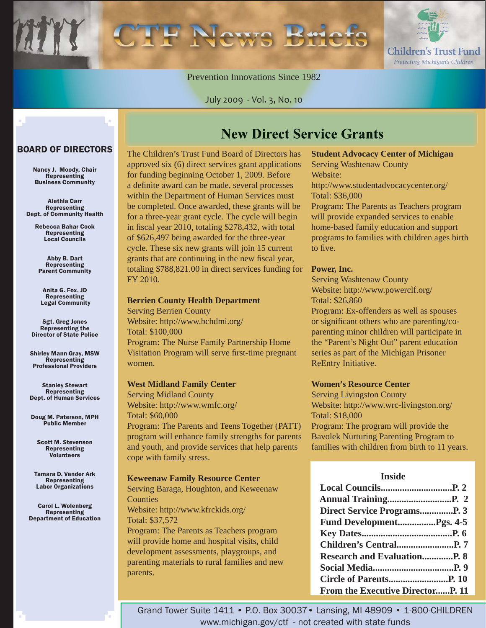Children's Trust Fund Protecting Michigan's Children

#### Prevention Innovations Since 1982

July 2009 - Vol. 3, No. 10

#### BOARD OF DIRECTORS

Nancy J. Moody, Chair Representing Business Community

Alethia Carr Representing Dept. of Community Health

> Rebecca Bahar Cook Representing Local Councils

Abby B. Dart Representing Parent Community

Anita G. Fox, JD Representing Legal Community

Sgt. Greg Jones Representing the Director of State Police

Shirley Mann Gray, MSW Representing Professional Providers

Stanley Stewart **Representing** Dept. of Human Services

Doug M. Paterson, MPH Public Member

Scott M. Stevenson Representing Volunteers

Tamara D. Vander Ark **Representing** Labor Organizations

Carol L. Wolenberg Representing Department of Education The Children's Trust Fund Board of Directors has approved six (6) direct services grant applications for funding beginning October 1, 2009. Before a definite award can be made, several processes within the Department of Human Services must be completed. Once awarded, these grants will be for a three-year grant cycle. The cycle will begin in fiscal year 2010, totaling  $$278,432$ , with total of \$626,497 being awarded for the three-year cycle. These six new grants will join 15 current grants that are continuing in the new fiscal year, totaling \$788,821.00 in direct services funding for FY 2010.

#### **Berrien County Health Department**

Serving Berrien County Website: http://www.bchdmi.org/ Total: \$100,000 Program: The Nurse Family Partnership Home Visitation Program will serve first-time pregnant women.

#### **West Midland Family Center**

Serving Midland County Website: http://www.wmfc.org/ Total: \$60,000 Program: The Parents and Teens Together (PATT) program will enhance family strengths for parents and youth, and provide services that help parents cope with family stress.

#### **Keweenaw Family Resource Center**

Serving Baraga, Houghton, and Keweenaw **Counties** Website: http://www.kfrckids.org/ Total: \$37,572 Program: The Parents as Teachers program will provide home and hospital visits, child development assessments, playgroups, and

parenting materials to rural families and new

parents.

#### **Student Advocacy Center of Michigan**

Serving Washtenaw County Website: http://www.studentadvocacycenter.org/

Total: \$36,000

**New Direct Service Grants** 

Program: The Parents as Teachers program will provide expanded services to enable home-based family education and support programs to families with children ages birth to five.

#### **Power, Inc.**

Serving Washtenaw County Website: http://www.powerclf.org/ Total: \$26,860

Program: Ex-offenders as well as spouses or significant others who are parenting/ $\cos$ parenting minor children will participate in the "Parent's Night Out" parent education series as part of the Michigan Prisoner ReEntry Initiative.

#### **Women's Resource Center**

Serving Livingston County Website: http://www.wrc-livingston.org/ Total: \$18,000 Program: The program will provide the Bavolek Nurturing Parenting Program to

families with children from birth to 11 years.

#### **Inside**

| Fund DevelopmentPgs. 4-5          |  |
|-----------------------------------|--|
|                                   |  |
|                                   |  |
|                                   |  |
|                                   |  |
|                                   |  |
| From the Executive Director P. 11 |  |

Grand Tower Suite 1411 • P.O. Box 30037• Lansing, MI 48909 • 1-800-CHILDREN www.michigan.gov/ctf - not created with state funds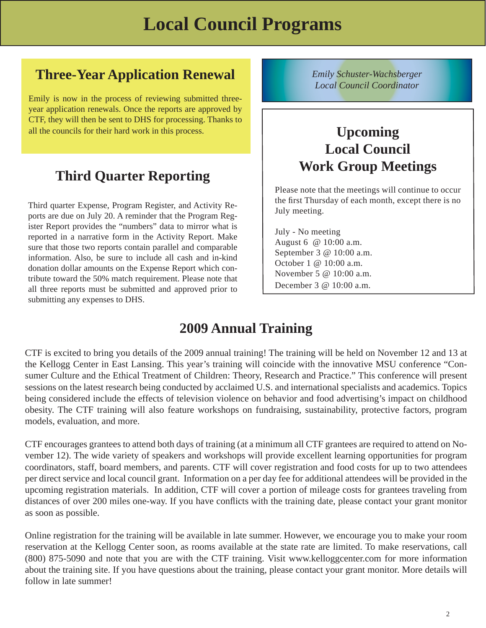# *Local Council Coordinator* **Three-Year Application Renewal**

Emily is now in the process of reviewing submitted threeyear application renewals. Once the reports are approved by CTF, they will then be sent to DHS for processing. Thanks to all the councils for their hard work in this process.

### **Third Quarter Reporting**

Third quarter Expense, Program Register, and Activity Reports are due on July 20. A reminder that the Program Register Report provides the "numbers" data to mirror what is reported in a narrative form in the Activity Report. Make sure that those two reports contain parallel and comparable information. Also, be sure to include all cash and in-kind donation dollar amounts on the Expense Report which contribute toward the 50% match requirement. Please note that all three reports must be submitted and approved prior to submitting any expenses to DHS.

*Emily Schuster-Wachsberger*

### **Upcoming Local Council Work Group Meetings**

Please note that the meetings will continue to occur the first Thursday of each month, except there is no July meeting.

July - No meeting August 6 @ 10:00 a.m. September 3 @ 10:00 a.m. October 1 @ 10:00 a.m. November 5 @ 10:00 a.m. December 3 @ 10:00 a.m.

### **2009 Annual Training**

CTF is excited to bring you details of the 2009 annual training! The training will be held on November 12 and 13 at the Kellogg Center in East Lansing. This year's training will coincide with the innovative MSU conference "Consumer Culture and the Ethical Treatment of Children: Theory, Research and Practice." This conference will present sessions on the latest research being conducted by acclaimed U.S. and international specialists and academics. Topics being considered include the effects of television violence on behavior and food advertising's impact on childhood obesity. The CTF training will also feature workshops on fundraising, sustainability, protective factors, program models, evaluation, and more.

CTF encourages grantees to attend both days of training (at a minimum all CTF grantees are required to attend on November 12). The wide variety of speakers and workshops will provide excellent learning opportunities for program coordinators, staff, board members, and parents. CTF will cover registration and food costs for up to two attendees per direct service and local council grant. Information on a per day fee for additional attendees will be provided in the upcoming registration materials. In addition, CTF will cover a portion of mileage costs for grantees traveling from distances of over 200 miles one-way. If you have conflicts with the training date, please contact your grant monitor as soon as possible.

Online registration for the training will be available in late summer. However, we encourage you to make your room reservation at the Kellogg Center soon, as rooms available at the state rate are limited. To make reservations, call (800) 875-5090 and note that you are with the CTF training. Visit www.kelloggcenter.com for more information about the training site. If you have questions about the training, please contact your grant monitor. More details will follow in late summer!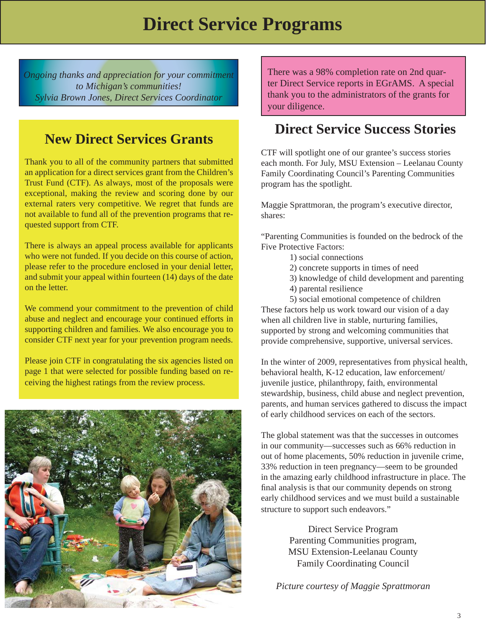*Ongoing thanks and appreciation for your commitment to Michigan's communities! Sylvia Brown Jones, Direct Services Coordinator*

### **New Direct Services Grants**

Thank you to all of the community partners that submitted an application for a direct services grant from the Children's Trust Fund (CTF). As always, most of the proposals were exceptional, making the review and scoring done by our external raters very competitive. We regret that funds are not available to fund all of the prevention programs that requested support from CTF.

There is always an appeal process available for applicants who were not funded. If you decide on this course of action, please refer to the procedure enclosed in your denial letter, and submit your appeal within fourteen (14) days of the date on the letter.

We commend your commitment to the prevention of child abuse and neglect and encourage your continued efforts in supporting children and families. We also encourage you to consider CTF next year for your prevention program needs.

Please join CTF in congratulating the six agencies listed on page 1 that were selected for possible funding based on receiving the highest ratings from the review process.



There was a 98% completion rate on 2nd quarter Direct Service reports in EGrAMS. A special thank you to the administrators of the grants for your diligence.

### **Direct Service Success Stories**

CTF will spotlight one of our grantee's success stories each month. For July, MSU Extension – Leelanau County Family Coordinating Council's Parenting Communities program has the spotlight.

Maggie Sprattmoran, the program's executive director, shares:

"Parenting Communities is founded on the bedrock of the Five Protective Factors:

- 1) social connections
- 2) concrete supports in times of need
- 3) knowledge of child development and parenting
- 4) parental resilience

 5) social emotional competence of children These factors help us work toward our vision of a day when all children live in stable, nurturing families, supported by strong and welcoming communities that provide comprehensive, supportive, universal services.

In the winter of 2009, representatives from physical health, behavioral health, K-12 education, law enforcement/ juvenile justice, philanthropy, faith, environmental stewardship, business, child abuse and neglect prevention, parents, and human services gathered to discuss the impact of early childhood services on each of the sectors.

The global statement was that the successes in outcomes in our community—successes such as 66% reduction in out of home placements, 50% reduction in juvenile crime, 33% reduction in teen pregnancy—seem to be grounded in the amazing early childhood infrastructure in place. The final analysis is that our community depends on strong early childhood services and we must build a sustainable structure to support such endeavors."

> Direct Service Program Parenting Communities program, MSU Extension-Leelanau County Family Coordinating Council

*Picture courtesy of Maggie Sprattmoran*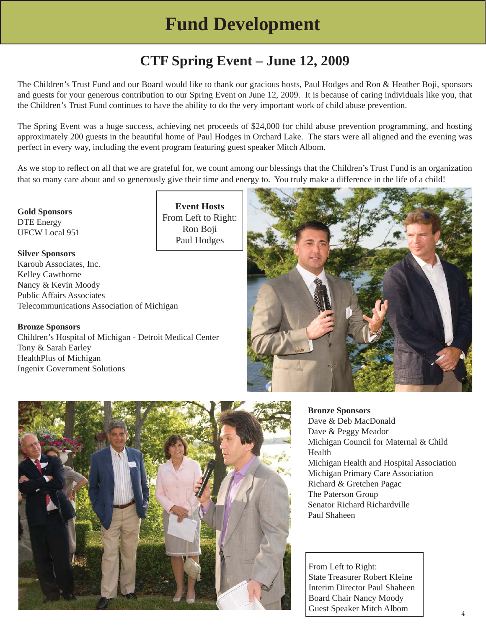## **Fund Development**

## **CTF Spring Event – June 12, 2009**

The Children's Trust Fund and our Board would like to thank our gracious hosts, Paul Hodges and Ron & Heather Boji, sponsors and guests for your generous contribution to our Spring Event on June 12, 2009. It is because of caring individuals like you, that the Children's Trust Fund continues to have the ability to do the very important work of child abuse prevention.

The Spring Event was a huge success, achieving net proceeds of \$24,000 for child abuse prevention programming, and hosting approximately 200 guests in the beautiful home of Paul Hodges in Orchard Lake. The stars were all aligned and the evening was perfect in every way, including the event program featuring guest speaker Mitch Albom.

As we stop to reflect on all that we are grateful for, we count among our blessings that the Children's Trust Fund is an organization that so many care about and so generously give their time and energy to. You truly make a difference in the life of a child!

**Event Hosts**

Ron Boji Paul Hodges

**Gold Sponsors** DTE Energy UFCW Local 951

**Silver Sponsors** Karoub Associates, Inc. Kelley Cawthorne Nancy & Kevin Moody Public Affairs Associates Telecommunications Association of Michigan

**Bronze Sponsors**

Children's Hospital of Michigan - Detroit Medical Center Tony & Sarah Earley HealthPlus of Michigan Ingenix Government Solutions



**Bronze Sponsors**

Dave & Deb MacDonald Dave & Peggy Meador Michigan Council for Maternal & Child **Health** Michigan Health and Hospital Association Michigan Primary Care Association Richard & Gretchen Pagac The Paterson Group Senator Richard Richardville Paul Shaheen

 From Left to Right: State Treasurer Robert Kleine Interim Director Paul Shaheen Board Chair Nancy Moody Guest Speaker Mitch Albom <sup>4</sup>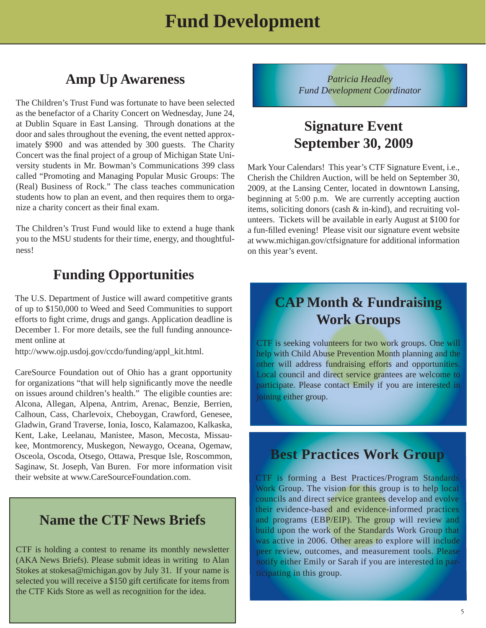### **Amp Up Awareness**

The Children's Trust Fund was fortunate to have been selected as the benefactor of a Charity Concert on Wednesday, June 24, at Dublin Square in East Lansing. Through donations at the door and sales throughout the evening, the event netted approximately \$900 and was attended by 300 guests. The Charity Concert was the final project of a group of Michigan State University students in Mr. Bowman's Communications 399 class called "Promoting and Managing Popular Music Groups: The (Real) Business of Rock." The class teaches communication students how to plan an event, and then requires them to organize a charity concert as their final exam.

The Children's Trust Fund would like to extend a huge thank you to the MSU students for their time, energy, and thoughtfulness!

### **Funding Opportunities**

The U.S. Department of Justice will award competitive grants of up to \$150,000 to Weed and Seed Communities to support efforts to fight crime, drugs and gangs. Application deadline is December 1. For more details, see the full funding announcement online at

http://www.ojp.usdoj.gov/ccdo/funding/appl\_kit.html.

CareSource Foundation out of Ohio has a grant opportunity for organizations "that will help significantly move the needle on issues around children's health." The eligible counties are: Alcona, Allegan, Alpena, Antrim, Arenac, Benzie, Berrien, Calhoun, Cass, Charlevoix, Cheboygan, Crawford, Genesee, Gladwin, Grand Traverse, Ionia, Iosco, Kalamazoo, Kalkaska, Kent, Lake, Leelanau, Manistee, Mason, Mecosta, Missaukee, Montmorency, Muskegon, Newaygo, Oceana, Ogemaw, Osceola, Oscoda, Otsego, Ottawa, Presque Isle, Roscommon, Saginaw, St. Joseph, Van Buren. For more information visit their website at www.CareSourceFoundation.com.

### **Name the CTF News Briefs**

CTF is holding a contest to rename its monthly newsletter (AKA News Briefs). Please submit ideas in writing to Alan Stokes at stokesa@michigan.gov by July 31. If your name is selected you will receive a \$150 gift certificate for items from the CTF Kids Store as well as recognition for the idea.

*Patricia Headley Fund Development Coordinator*

### **Signature Event September 30, 2009**

Mark Your Calendars! This year's CTF Signature Event, i.e., Cherish the Children Auction, will be held on September 30, 2009, at the Lansing Center, located in downtown Lansing, beginning at 5:00 p.m. We are currently accepting auction items, soliciting donors (cash & in-kind), and recruiting volunteers. Tickets will be available in early August at \$100 for a fun-filled evening! Please visit our signature event website at www.michigan.gov/ctfsignature for additional information on this year's event.

### **CAP Month & Fundraising Work Groups**

CTF is seeking volunteers for two work groups. One will help with Child Abuse Prevention Month planning and the other will address fundraising efforts and opportunities. Local council and direct service grantees are welcome to participate. Please contact Emily if you are interested in joining either group.

### **Best Practices Work Group**

CTF is forming a Best Practices/Program Standards Work Group. The vision for this group is to help local councils and direct service grantees develop and evolve their evidence-based and evidence-informed practices and programs (EBP/EIP). The group will review and build upon the work of the Standards Work Group that was active in 2006. Other areas to explore will include peer review, outcomes, and measurement tools. Please notify either Emily or Sarah if you are interested in participating in this group.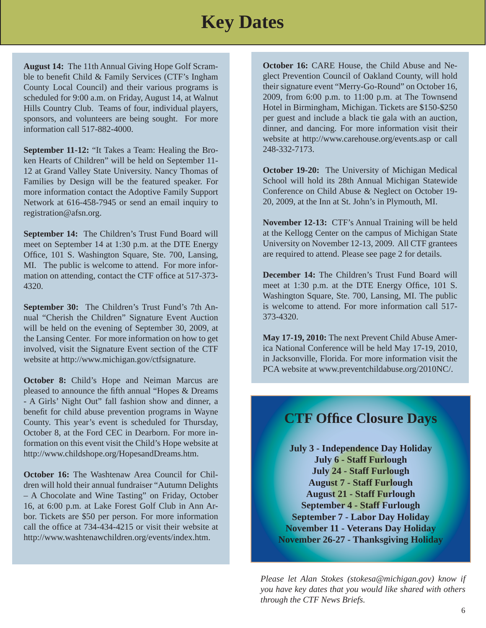## **Key Dates**

**August 14:** The 11th Annual Giving Hope Golf Scramble to benefit Child  $&$  Family Services (CTF's Ingham County Local Council) and their various programs is scheduled for 9:00 a.m. on Friday, August 14, at Walnut Hills Country Club. Teams of four, individual players, sponsors, and volunteers are being sought. For more information call 517-882-4000.

**September 11-12:** "It Takes a Team: Healing the Broken Hearts of Children" will be held on September 11- 12 at Grand Valley State University. Nancy Thomas of Families by Design will be the featured speaker. For more information contact the Adoptive Family Support Network at 616-458-7945 or send an email inquiry to registration@afsn.org.

**September 14:** The Children's Trust Fund Board will meet on September 14 at 1:30 p.m. at the DTE Energy Office, 101 S. Washington Square, Ste. 700, Lansing, MI. The public is welcome to attend. For more information on attending, contact the CTF office at 517-373-4320.

**September 30:** The Children's Trust Fund's 7th Annual "Cherish the Children" Signature Event Auction will be held on the evening of September 30, 2009, at the Lansing Center. For more information on how to get involved, visit the Signature Event section of the CTF website at http://www.michigan.gov/ctfsignature.

**October 8:** Child's Hope and Neiman Marcus are pleased to announce the fifth annual "Hopes & Dreams" - A Girls' Night Out" fall fashion show and dinner, a benefit for child abuse prevention programs in Wayne County. This year's event is scheduled for Thursday, October 8, at the Ford CEC in Dearborn. For more information on this event visit the Child's Hope website at http://www.childshope.org/HopesandDreams.htm.

**October 16:** The Washtenaw Area Council for Children will hold their annual fundraiser "Autumn Delights – A Chocolate and Wine Tasting" on Friday, October 16, at 6:00 p.m. at Lake Forest Golf Club in Ann Arbor. Tickets are \$50 per person. For more information call the office at 734-434-4215 or visit their website at http://www.washtenawchildren.org/events/index.htm.

**October 16:** CARE House, the Child Abuse and Neglect Prevention Council of Oakland County, will hold their signature event "Merry-Go-Round" on October 16, 2009, from 6:00 p.m. to 11:00 p.m. at The Townsend Hotel in Birmingham, Michigan. Tickets are \$150-\$250 per guest and include a black tie gala with an auction, dinner, and dancing. For more information visit their website at http://www.carehouse.org/events.asp or call 248-332-7173.

**October 19-20:** The University of Michigan Medical School will hold its 28th Annual Michigan Statewide Conference on Child Abuse & Neglect on October 19- 20, 2009, at the Inn at St. John's in Plymouth, MI.

**November 12-13:** CTF's Annual Training will be held at the Kellogg Center on the campus of Michigan State University on November 12-13, 2009. All CTF grantees are required to attend. Please see page 2 for details.

**December 14:** The Children's Trust Fund Board will meet at 1:30 p.m. at the DTE Energy Office, 101 S. Washington Square, Ste. 700, Lansing, MI. The public is welcome to attend. For more information call 517- 373-4320.

**May 17-19, 2010:** The next Prevent Child Abuse America National Conference will be held May 17-19, 2010, in Jacksonville, Florida. For more information visit the PCA website at www.preventchildabuse.org/2010NC/.

### **CTF Offi ce Closure Days**

**July 3 - Independence Day Holiday July 6 - Staff Furlough July 24 - Staff Furlough August 7 - Staff Furlough August 21 - Staff Furlough September 4 - Staff Furlough September 7 - Labor Day Holiday November 11 - Veterans Day Holiday November 26-27 - Thanksgiving Holiday**

*Please let Alan Stokes (stokesa@michigan.gov) know if you have key dates that you would like shared with others through the CTF News Briefs.*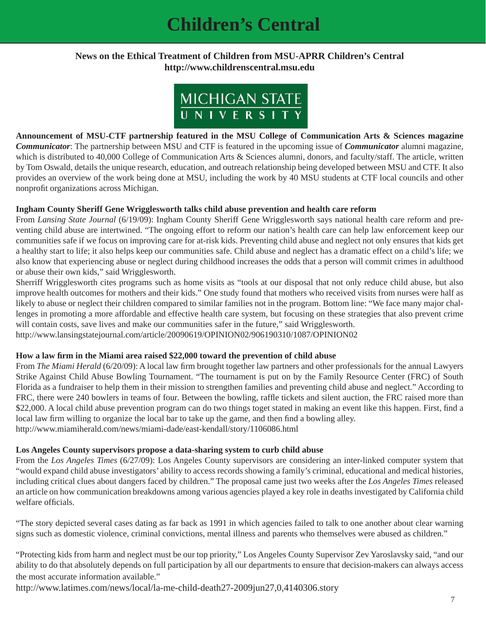## **Children's Central**

#### **News on the Ethical Treatment of Children from MSU-APRR Children's Central http://www.childrenscentral.msu.edu**



**Announcement of MSU-CTF partnership featured in the MSU College of Communication Arts & Sciences magazine**  *Communicator*: The partnership between MSU and CTF is featured in the upcoming issue of *Communicator* alumni magazine, which is distributed to 40,000 College of Communication Arts & Sciences alumni, donors, and faculty/staff. The article, written by Tom Oswald, details the unique research, education, and outreach relationship being developed between MSU and CTF. It also provides an overview of the work being done at MSU, including the work by 40 MSU students at CTF local councils and other nonprofit organizations across Michigan.

#### **Ingham County Sheriff Gene Wrigglesworth talks child abuse prevention and health care reform**

From *Lansing State Journal* (6/19/09): Ingham County Sheriff Gene Wrigglesworth says national health care reform and preventing child abuse are intertwined. "The ongoing effort to reform our nation's health care can help law enforcement keep our communities safe if we focus on improving care for at-risk kids. Preventing child abuse and neglect not only ensures that kids get a healthy start to life; it also helps keep our communities safe. Child abuse and neglect has a dramatic effect on a child's life; we also know that experiencing abuse or neglect during childhood increases the odds that a person will commit crimes in adulthood or abuse their own kids," said Wrigglesworth.

Sherriff Wrigglesworth cites programs such as home visits as "tools at our disposal that not only reduce child abuse, but also improve health outcomes for mothers and their kids." One study found that mothers who received visits from nurses were half as likely to abuse or neglect their children compared to similar families not in the program. Bottom line: "We face many major challenges in promoting a more affordable and effective health care system, but focusing on these strategies that also prevent crime will contain costs, save lives and make our communities safer in the future," said Wrigglesworth.

http://www.lansingstatejournal.com/article/20090619/OPINION02/906190310/1087/OPINION02

#### **How a law fi rm in the Miami area raised \$22,000 toward the prevention of child abuse**

From *The Miami Herald* (6/20/09): A local law firm brought together law partners and other professionals for the annual Lawyers Strike Against Child Abuse Bowling Tournament. "The tournament is put on by the Family Resource Center (FRC) of South Florida as a fundraiser to help them in their mission to strengthen families and preventing child abuse and neglect." According to FRC, there were 240 bowlers in teams of four. Between the bowling, raffle tickets and silent auction, the FRC raised more than \$22,000. A local child abuse prevention program can do two things toget stated in making an event like this happen. First, find a local law firm willing to organize the local bar to take up the game, and then find a bowling alley. http://www.miamiherald.com/news/miami-dade/east-kendall/story/1106086.html

#### **Los Angeles County supervisors propose a data-sharing system to curb child abuse**

From the *Los Angeles Times* (6/27/09): Los Angeles County supervisors are considering an inter-linked computer system that "would expand child abuse investigators' ability to access records showing a family's criminal, educational and medical histories, including critical clues about dangers faced by children." The proposal came just two weeks after the *Los Angeles Times* released an article on how communication breakdowns among various agencies played a key role in deaths investigated by California child welfare officials.

"The story depicted several cases dating as far back as 1991 in which agencies failed to talk to one another about clear warning signs such as domestic violence, criminal convictions, mental illness and parents who themselves were abused as children."

"Protecting kids from harm and neglect must be our top priority," Los Angeles County Supervisor Zev Yaroslavsky said, "and our ability to do that absolutely depends on full participation by all our departments to ensure that decision-makers can always access the most accurate information available."

http://www.latimes.com/news/local/la-me-child-death27-2009jun27,0,4140306.story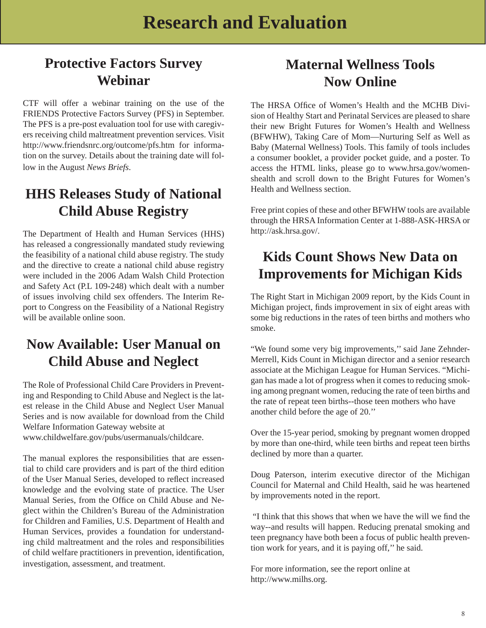### **Protective Factors Survey Webinar**

CTF will offer a webinar training on the use of the FRIENDS Protective Factors Survey (PFS) in September. The PFS is a pre-post evaluation tool for use with caregivers receiving child maltreatment prevention services. Visit http://www.friendsnrc.org/outcome/pfs.htm for information on the survey. Details about the training date will follow in the August *News Briefs*.

### **HHS Releases Study of National Child Abuse Registry**

The Department of Health and Human Services (HHS) has released a congressionally mandated study reviewing the feasibility of a national child abuse registry. The study and the directive to create a national child abuse registry were included in the 2006 Adam Walsh Child Protection and Safety Act (P.L 109-248) which dealt with a number of issues involving child sex offenders. The Interim Report to Congress on the Feasibility of a National Registry will be available online soon.

### **Now Available: User Manual on Child Abuse and Neglect**

The Role of Professional Child Care Providers in Preventing and Responding to Child Abuse and Neglect is the latest release in the Child Abuse and Neglect User Manual Series and is now available for download from the Child Welfare Information Gateway website at www.childwelfare.gov/pubs/usermanuals/childcare.

The manual explores the responsibilities that are essential to child care providers and is part of the third edition of the User Manual Series, developed to reflect increased knowledge and the evolving state of practice. The User Manual Series, from the Office on Child Abuse and Neglect within the Children's Bureau of the Administration for Children and Families, U.S. Department of Health and Human Services, provides a foundation for understanding child maltreatment and the roles and responsibilities of child welfare practitioners in prevention, identification, investigation, assessment, and treatment.

### **Maternal Wellness Tools Now Online**

The HRSA Office of Women's Health and the MCHB Division of Healthy Start and Perinatal Services are pleased to share their new Bright Futures for Women's Health and Wellness (BFWHW), Taking Care of Mom—Nurturing Self as Well as Baby (Maternal Wellness) Tools. This family of tools includes a consumer booklet, a provider pocket guide, and a poster. To access the HTML links, please go to www.hrsa.gov/womenshealth and scroll down to the Bright Futures for Women's Health and Wellness section.

Free print copies of these and other BFWHW tools are available through the HRSA Information Center at 1-888-ASK-HRSA or http://ask.hrsa.gov/.

### **Kids Count Shows New Data on Improvements for Michigan Kids**

The Right Start in Michigan 2009 report, by the Kids Count in Michigan project, finds improvement in six of eight areas with some big reductions in the rates of teen births and mothers who smoke.

"We found some very big improvements,'' said Jane Zehnder-Merrell, Kids Count in Michigan director and a senior research associate at the Michigan League for Human Services. "Michigan has made a lot of progress when it comes to reducing smoking among pregnant women, reducing the rate of teen births and the rate of repeat teen births--those teen mothers who have another child before the age of 20.''

Over the 15-year period, smoking by pregnant women dropped by more than one-third, while teen births and repeat teen births declined by more than a quarter.

Doug Paterson, interim executive director of the Michigan Council for Maternal and Child Health, said he was heartened by improvements noted in the report.

"I think that this shows that when we have the will we find the way--and results will happen. Reducing prenatal smoking and teen pregnancy have both been a focus of public health prevention work for years, and it is paying off,'' he said.

For more information, see the report online at http://www.milhs.org.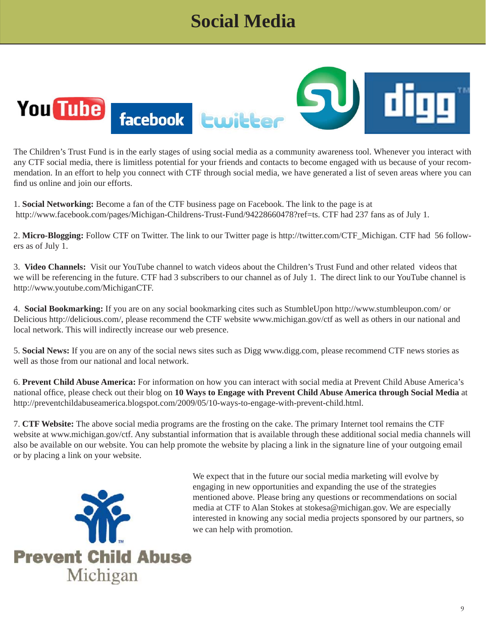# **Social Media**



The Children's Trust Fund is in the early stages of using social media as a community awareness tool. Whenever you interact with any CTF social media, there is limitless potential for your friends and contacts to become engaged with us because of your recommendation. In an effort to help you connect with CTF through social media, we have generated a list of seven areas where you can find us online and join our efforts.

1. **Social Networking:** Become a fan of the CTF business page on Facebook. The link to the page is at http://www.facebook.com/pages/Michigan-Childrens-Trust-Fund/94228660478?ref=ts. CTF had 237 fans as of July 1.

2. **Micro-Blogging:** Follow CTF on Twitter. The link to our Twitter page is http://twitter.com/CTF\_Michigan. CTF had 56 followers as of July 1.

3. **Video Channels:** Visit our YouTube channel to watch videos about the Children's Trust Fund and other related videos that we will be referencing in the future. CTF had 3 subscribers to our channel as of July 1. The direct link to our YouTube channel is http://www.youtube.com/MichiganCTF.

4. **Social Bookmarking:** If you are on any social bookmarking cites such as StumbleUpon http://www.stumbleupon.com/ or Delicious http://delicious.com/, please recommend the CTF website www.michigan.gov/ctf as well as others in our national and local network. This will indirectly increase our web presence.

5. **Social News:** If you are on any of the social news sites such as Digg www.digg.com, please recommend CTF news stories as well as those from our national and local network.

6. **Prevent Child Abuse America:** For information on how you can interact with social media at Prevent Child Abuse America's national office, please check out their blog on 10 Ways to Engage with Prevent Child Abuse America through Social Media at http://preventchildabuseamerica.blogspot.com/2009/05/10-ways-to-engage-with-prevent-child.html.

7. **CTF Website:** The above social media programs are the frosting on the cake. The primary Internet tool remains the CTF website at www.michigan.gov/ctf. Any substantial information that is available through these additional social media channels will also be available on our website. You can help promote the website by placing a link in the signature line of your outgoing email or by placing a link on your website.



We expect that in the future our social media marketing will evolve by engaging in new opportunities and expanding the use of the strategies mentioned above. Please bring any questions or recommendations on social media at CTF to Alan Stokes at stokesa@michigan.gov. We are especially interested in knowing any social media projects sponsored by our partners, so we can help with promotion.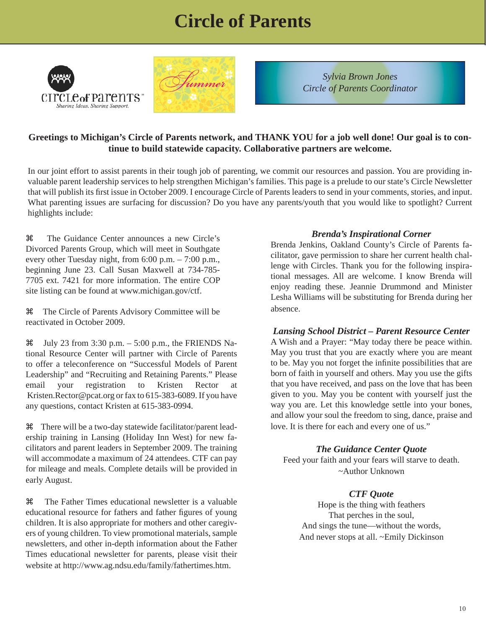## **Circle of Parents**





*Sylvia Brown Jones Circle of Parents Coordinator*

#### **Greetings to Michigan's Circle of Parents network, and THANK YOU for a job well done! Our goal is to continue to build statewide capacity. Collaborative partners are welcome.**

In our joint effort to assist parents in their tough job of parenting, we commit our resources and passion. You are providing invaluable parent leadership services to help strengthen Michigan's families. This page is a prelude to our state's Circle Newsletter that will publish its first issue in October 2009. I encourage Circle of Parents leaders to send in your comments, stories, and input. What parenting issues are surfacing for discussion? Do you have any parents/youth that you would like to spotlight? Current highlights include:

a The Guidance Center announces a new Circle's Divorced Parents Group, which will meet in Southgate every other Tuesday night, from 6:00 p.m. – 7:00 p.m., beginning June 23. Call Susan Maxwell at 734-785- 7705 ext. 7421 for more information. The entire COP site listing can be found at www.michigan.gov/ctf.

a The Circle of Parents Advisory Committee will be reactivated in October 2009.

 $\text{H}$  July 23 from 3:30 p.m. – 5:00 p.m., the FRIENDS National Resource Center will partner with Circle of Parents to offer a teleconference on "Successful Models of Parent Leadership" and "Recruiting and Retaining Parents." Please email your registration to Kristen Rector at Kristen.Rector@pcat.org or fax to 615-383-6089. If you have any questions, contact Kristen at 615-383-0994.

a There will be a two-day statewide facilitator/parent leadership training in Lansing (Holiday Inn West) for new facilitators and parent leaders in September 2009. The training will accommodate a maximum of 24 attendees. CTF can pay for mileage and meals. Complete details will be provided in early August.

a The Father Times educational newsletter is a valuable educational resource for fathers and father figures of young children. It is also appropriate for mothers and other caregivers of young children. To view promotional materials, sample newsletters, and other in-depth information about the Father Times educational newsletter for parents, please visit their website at http://www.ag.ndsu.edu/family/fathertimes.htm.

#### *Brenda's Inspirational Corner*

Brenda Jenkins, Oakland County's Circle of Parents facilitator, gave permission to share her current health challenge with Circles. Thank you for the following inspirational messages. All are welcome. I know Brenda will enjoy reading these. Jeannie Drummond and Minister Lesha Williams will be substituting for Brenda during her absence.

#### *Lansing School District – Parent Resource Center*

A Wish and a Prayer: "May today there be peace within. May you trust that you are exactly where you are meant to be. May you not forget the infinite possibilities that are born of faith in yourself and others. May you use the gifts that you have received, and pass on the love that has been given to you. May you be content with yourself just the way you are. Let this knowledge settle into your bones, and allow your soul the freedom to sing, dance, praise and love. It is there for each and every one of us."

#### *The Guidance Center Quote*

Feed your faith and your fears will starve to death. ~Author Unknown

#### *CTF Quote*

Hope is the thing with feathers That perches in the soul, And sings the tune—without the words, And never stops at all. ~Emily Dickinson